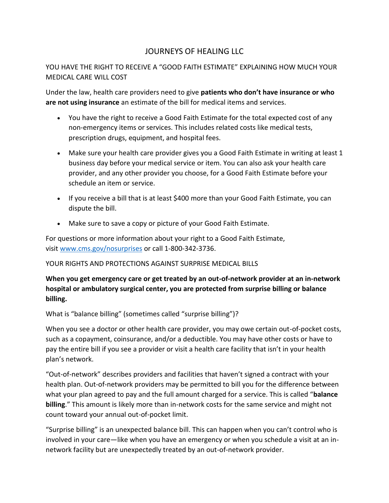# JOURNEYS OF HEALING LLC

## YOU HAVE THE RIGHT TO RECEIVE A "GOOD FAITH ESTIMATE" EXPLAINING HOW MUCH YOUR MEDICAL CARE WILL COST

Under the law, health care providers need to give **patients who don't have insurance or who are not using insurance** an estimate of the bill for medical items and services.

- You have the right to receive a Good Faith Estimate for the total expected cost of any non-emergency items or services. This includes related costs like medical tests, prescription drugs, equipment, and hospital fees.
- Make sure your health care provider gives you a Good Faith Estimate in writing at least 1 business day before your medical service or item. You can also ask your health care provider, and any other provider you choose, for a Good Faith Estimate before your schedule an item or service.
- If you receive a bill that is at least \$400 more than your Good Faith Estimate, you can dispute the bill.
- Make sure to save a copy or picture of your Good Faith Estimate.

For questions or more information about your right to a Good Faith Estimate, visit [www.cms.gov/nosurprises](http://www.cms.gov/nosurprises) or call 1-800-342-3736.

#### YOUR RIGHTS AND PROTECTIONS AGAINST SURPRISE MEDICAL BILLS

### **When you get emergency care or get treated by an out-of-network provider at an in-network hospital or ambulatory surgical center, you are protected from surprise billing or balance billing.**

What is "balance billing" (sometimes called "surprise billing")?

When you see a doctor or other health care provider, you may owe certain out-of-pocket costs, such as a copayment, coinsurance, and/or a deductible. You may have other costs or have to pay the entire bill if you see a provider or visit a health care facility that isn't in your health plan's network.

"Out-of-network" describes providers and facilities that haven't signed a contract with your health plan. Out-of-network providers may be permitted to bill you for the difference between what your plan agreed to pay and the full amount charged for a service. This is called "**balance billing**." This amount is likely more than in-network costs for the same service and might not count toward your annual out-of-pocket limit.

"Surprise billing" is an unexpected balance bill. This can happen when you can't control who is involved in your care—like when you have an emergency or when you schedule a visit at an innetwork facility but are unexpectedly treated by an out-of-network provider.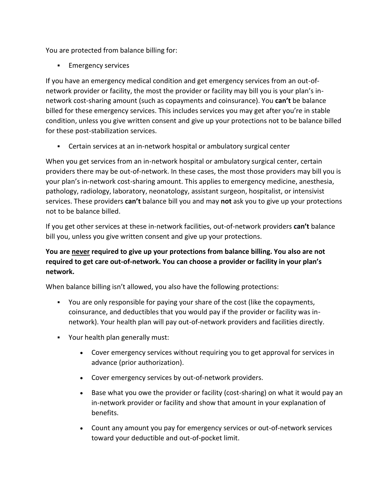You are protected from balance billing for:

**Emergency services** 

If you have an emergency medical condition and get emergency services from an out-ofnetwork provider or facility, the most the provider or facility may bill you is your plan's innetwork cost-sharing amount (such as copayments and coinsurance). You **can't** be balance billed for these emergency services. This includes services you may get after you're in stable condition, unless you give written consent and give up your protections not to be balance billed for these post-stabilization services.

**EXEC** Certain services at an in-network hospital or ambulatory surgical center

When you get services from an in-network hospital or ambulatory surgical center, certain providers there may be out-of-network. In these cases, the most those providers may bill you is your plan's in-network cost-sharing amount. This applies to emergency medicine, anesthesia, pathology, radiology, laboratory, neonatology, assistant surgeon, hospitalist, or intensivist services. These providers **can't** balance bill you and may **not** ask you to give up your protections not to be balance billed.

If you get other services at these in-network facilities, out-of-network providers **can't** balance bill you, unless you give written consent and give up your protections.

## **You are never required to give up your protections from balance billing. You also are not required to get care out-of-network. You can choose a provider or facility in your plan's network.**

When balance billing isn't allowed, you also have the following protections:

- You are only responsible for paying your share of the cost (like the copayments, coinsurance, and deductibles that you would pay if the provider or facility was innetwork). Your health plan will pay out-of-network providers and facilities directly.
- Your health plan generally must:
	- Cover emergency services without requiring you to get approval for services in advance (prior authorization).
	- Cover emergency services by out-of-network providers.
	- Base what you owe the provider or facility (cost-sharing) on what it would pay an in-network provider or facility and show that amount in your explanation of benefits.
	- Count any amount you pay for emergency services or out-of-network services toward your deductible and out-of-pocket limit.